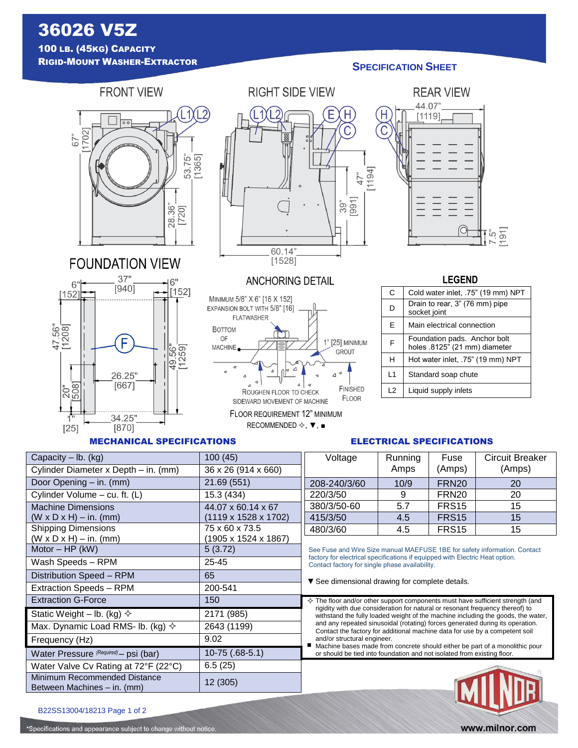# 36026 V5Z 100 LB. (45KG) CAPACITY RIGID-MOUNT WASHER-EXTRACTOR

# **SPECIFICATION SHEET**



**FOUNDATION VIEW** 



## MECHANICAL SPECIFICATIONS

 $Motor - HP (kW)$  5 (3.72) Wash Speeds – RPM 25-45 Distribution Speed – RPM 65 Extraction Speeds – RPM 200-541 Extraction G-Force 150

Static Weight – lb. (kg)  $\diamond$  2171 (985) Max. Dynamic Load RMS- lb. (kg)  $\sim$  | 2643 (1199)

Water Pressure <sup>(Required)</sup> - psi (bar) [10-75 (.68-5.1)

Frequency (Hz) 9.02

Water Valve Cv Rating at  $72^{\circ}F(22^{\circ}C)$  | 6.5 (25)

Between Machines – in. (mm) 12 (305)

| <b>RIGHT SIDE VIEW</b>                                            |               |
|-------------------------------------------------------------------|---------------|
| L2<br>C<br>88<br>88<br>$\frac{1}{2}$<br>$\circ$<br>$391$<br>[991] | [1194]<br>47" |
| 60.14"<br>[1528]                                                  |               |

**ANCHORING DETAIL** 

1" [25] MINIMUM

GROUT

FINISHED

FLOOR

 $\Lambda$ 

MINIMUM 5/8" X 6" [16 X 152] EXPANSION BOLT WITH 5/8" [16] **FLATWASHER** 

**BOTTOM** 

OF

**MACHINE** 

FLOOR REQUIREMENT 12" MINIMUM RECOMMENDED  $\diamond$ ,  $\blacktriangledown$ ,  $\blacksquare$ 

ROUGHEN FLOOR TO CHECK

SIDEWARD MOVEMENT OF MACHINE

# **RFAR VIFW** 44.07"  $[1119]$ ِ قَ قِ إِ

# **LEGEND**

| C              | Cold water inlet, .75" (19 mm) NPT                            |
|----------------|---------------------------------------------------------------|
| D              | Drain to rear, 3" (76 mm) pipe<br>socket joint                |
| F              | Main electrical connection                                    |
| F              | Foundation pads. Anchor bolt<br>holes .8125" (21 mm) diameter |
| н              | Hot water inlet, .75" (19 mm) NPT                             |
| $\overline{1}$ | Standard soap chute                                           |
| $\overline{2}$ | Liquid supply inlets                                          |

# ELECTRICAL SPECIFICATIONS

| Capacity $-$ lb. (kg)                | 100(45)                          | Voltage      | Running | Fuse              | <b>Circuit Breaker</b> |
|--------------------------------------|----------------------------------|--------------|---------|-------------------|------------------------|
| Cylinder Diameter x Depth – in. (mm) | 36 x 26 (914 x 660)              |              | Amps    | (Amps)            | (Amps)                 |
| Door Opening - in. (mm)              | 21.69 (551)                      | 208-240/3/60 | 10/9    | FRN <sub>20</sub> | 20                     |
| Cylinder Volume - cu. ft. (L)        | 15.3 (434)                       | 220/3/50     |         | FRN <sub>20</sub> | 20                     |
| <b>Machine Dimensions</b>            | 44.07 x 60.14 x 67               | 380/3/50-60  | 5.7     | FRS <sub>15</sub> | 15                     |
| $(W \times D \times H) - in.$ (mm)   | $(1119 \times 1528 \times 1702)$ | 415/3/50     | 4.5     | FRS <sub>15</sub> | 15                     |
| <b>Shipping Dimensions</b>           | 75 x 60 x 73.5                   | 480/3/60     | 4.5     | FRS <sub>15</sub> | 15                     |
| $(W \times D \times H) - in.$ (mm)   | $(1905 \times 1524 \times 1867)$ |              |         |                   |                        |

See Fuse and Wire Size manual MAEFUSE 1BE for safety information. Contact factory for electrical specifications if equipped with Electric Heat option. Contact factory for single phase availability.

▼See dimensional drawing for complete details.

 $\diamondsuit$  The floor and/or other support components must have sufficient strength (and rigidity with due consideration for natural or resonant frequency thereof) to withstand the fully loaded weight of the machine including the goods, the water, and any repeated sinusoidal (rotating) forces generated during its operation. Contact the factory for additional machine data for use by a competent soil and/or structural engineer.

■ Machine bases made from concrete should either be part of a monolithic pour or should be tied into foundation and not isolated from existing floor.



| B22SS13004/18213 Page 1 of 2 |  |
|------------------------------|--|

Minimum Recommended Distance

\*Specifications and appearance subject to change wi

| $\cdots$ |  |  |  |
|----------|--|--|--|
|          |  |  |  |
|          |  |  |  |